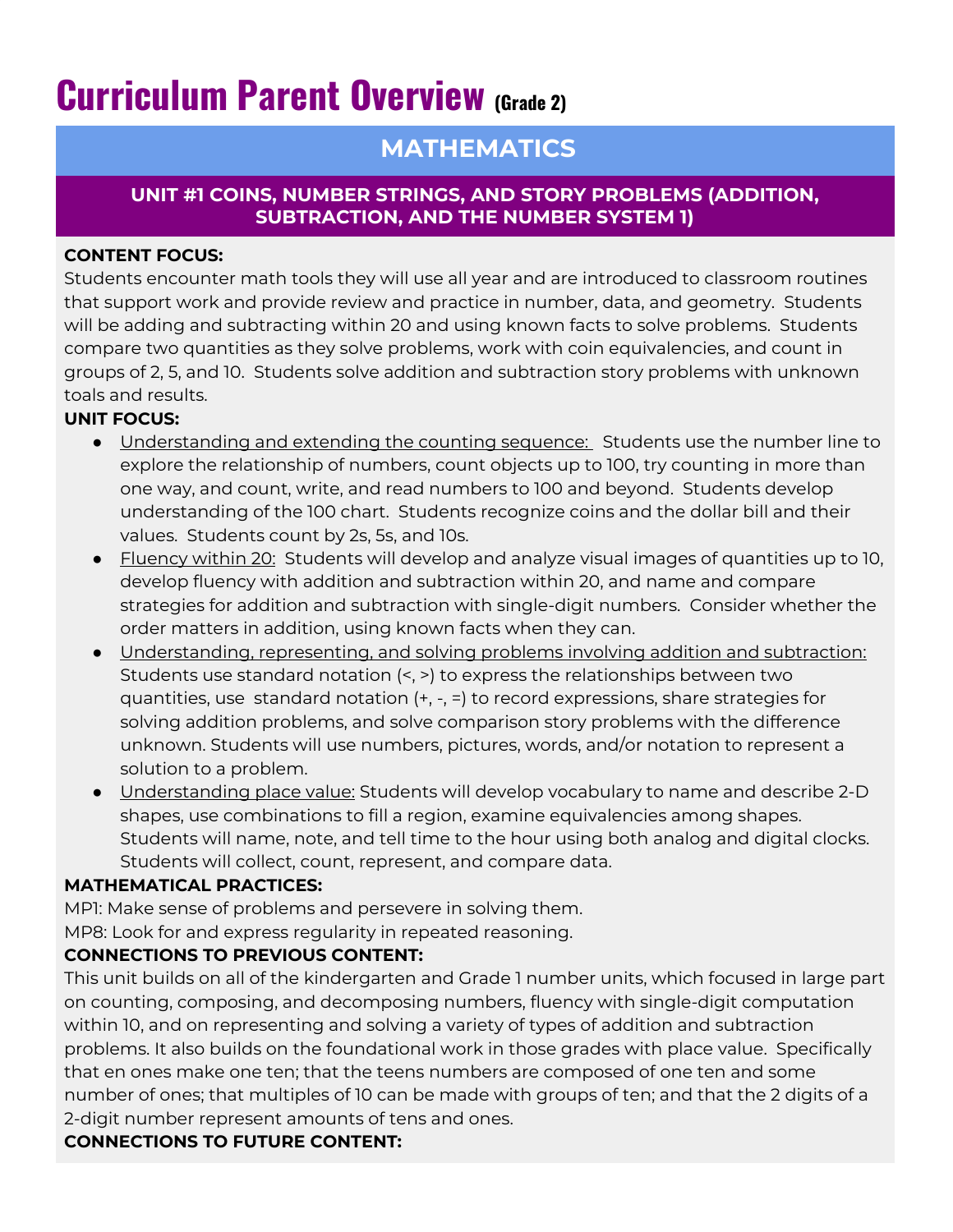# **Curriculum Parent Overview (Grade 2)**

# **MATHEMATICS**

# **UNIT #1 COINS, NUMBER STRINGS, AND STORY PROBLEMS (ADDITION, SUBTRACTION, AND THE NUMBER SYSTEM 1)**

# **CONTENT FOCUS:**

Students encounter math tools they will use all year and are introduced to classroom routines that support work and provide review and practice in number, data, and geometry. Students will be adding and subtracting within 20 and using known facts to solve problems. Students compare two quantities as they solve problems, work with coin equivalencies, and count in groups of 2, 5, and 10. Students solve addition and subtraction story problems with unknown toals and results.

# **UNIT FOCUS:**

- Understanding and extending the counting sequence: Students use the number line to explore the relationship of numbers, count objects up to 100, try counting in more than one way, and count, write, and read numbers to 100 and beyond. Students develop understanding of the 100 chart. Students recognize coins and the dollar bill and their values. Students count by 2s, 5s, and 10s.
- Fluency within 20: Students will develop and analyze visual images of quantities up to 10, develop fluency with addition and subtraction within 20, and name and compare strategies for addition and subtraction with single-digit numbers. Consider whether the order matters in addition, using known facts when they can.
- Understanding, representing, and solving problems involving addition and subtraction: Students use standard notation (<, >) to express the relationships between two quantities, use standard notation (+, -, =) to record expressions, share strategies for solving addition problems, and solve comparison story problems with the difference unknown. Students will use numbers, pictures, words, and/or notation to represent a solution to a problem.
- Understanding place value: Students will develop vocabulary to name and describe 2-D shapes, use combinations to fill a region, examine equivalencies among shapes. Students will name, note, and tell time to the hour using both analog and digital clocks. Students will collect, count, represent, and compare data.

# **MATHEMATICAL PRACTICES:**

MP1: Make sense of problems and persevere in solving them.

MP8: Look for and express regularity in repeated reasoning.

# **CONNECTIONS TO PREVIOUS CONTENT:**

This unit builds on all of the kindergarten and Grade 1 number units, which focused in large part on counting, composing, and decomposing numbers, fluency with single-digit computation within 10, and on representing and solving a variety of types of addition and subtraction problems. It also builds on the foundational work in those grades with place value. Specifically that en ones make one ten; that the teens numbers are composed of one ten and some number of ones; that multiples of 10 can be made with groups of ten; and that the 2 digits of a 2-digit number represent amounts of tens and ones.

# **CONNECTIONS TO FUTURE CONTENT:**